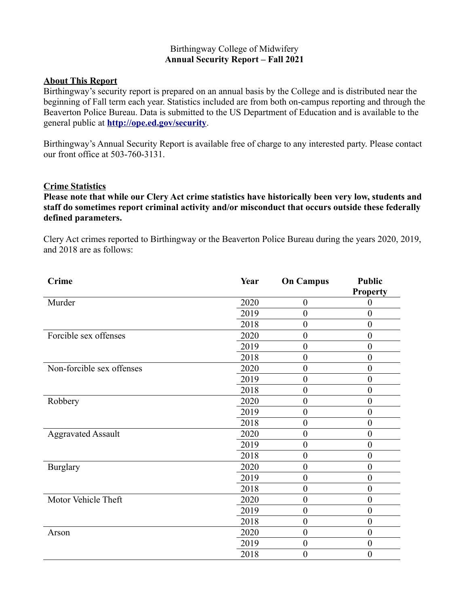### Birthingway College of Midwifery **Annual Security Report – Fall 2021**

### **About This Report**

Birthingway's security report is prepared on an annual basis by the College and is distributed near the beginning of Fall term each year. Statistics included are from both on-campus reporting and through the Beaverton Police Bureau. Data is submitted to the US Department of Education and is available to the general public at **<http://ope.ed.gov/security>**.

Birthingway's Annual Security Report is available free of charge to any interested party. Please contact our front office at 503-760-3131.

#### **Crime Statistics**

**Please note that while our Clery Act crime statistics have historically been very low, students and staff do sometimes report criminal activity and/or misconduct that occurs outside these federally defined parameters.** 

Clery Act crimes reported to Birthingway or the Beaverton Police Bureau during the years 2020, 2019, and 2018 are as follows:

| <b>Crime</b>              | Year | <b>On Campus</b> | <b>Public</b><br><b>Property</b> |
|---------------------------|------|------------------|----------------------------------|
| Murder                    | 2020 | $\overline{0}$   | $\boldsymbol{0}$                 |
|                           | 2019 | $\overline{0}$   | $\boldsymbol{0}$                 |
|                           | 2018 | $\boldsymbol{0}$ | $\boldsymbol{0}$                 |
| Forcible sex offenses     | 2020 | $\boldsymbol{0}$ | $\boldsymbol{0}$                 |
|                           | 2019 | $\overline{0}$   | $\boldsymbol{0}$                 |
|                           | 2018 | $\theta$         | $\boldsymbol{0}$                 |
| Non-forcible sex offenses | 2020 | $\overline{0}$   | $\boldsymbol{0}$                 |
|                           | 2019 | $\overline{0}$   | $\boldsymbol{0}$                 |
|                           | 2018 | $\overline{0}$   | $\boldsymbol{0}$                 |
| Robbery                   | 2020 | $\theta$         | $\mathbf{0}$                     |
|                           | 2019 | $\overline{0}$   | $\boldsymbol{0}$                 |
|                           | 2018 | $\overline{0}$   | $\boldsymbol{0}$                 |
| <b>Aggravated Assault</b> | 2020 | $\overline{0}$   | $\boldsymbol{0}$                 |
|                           | 2019 | $\overline{0}$   | $\boldsymbol{0}$                 |
|                           | 2018 | $\theta$         | $\boldsymbol{0}$                 |
| <b>Burglary</b>           | 2020 | $\overline{0}$   | $\boldsymbol{0}$                 |
|                           | 2019 | $\theta$         | $\boldsymbol{0}$                 |
|                           | 2018 | $\overline{0}$   | $\boldsymbol{0}$                 |
| Motor Vehicle Theft       | 2020 | $\overline{0}$   | $\boldsymbol{0}$                 |
|                           | 2019 | $\overline{0}$   | $\boldsymbol{0}$                 |
|                           | 2018 | $\overline{0}$   | $\boldsymbol{0}$                 |
| Arson                     | 2020 | $\overline{0}$   | $\boldsymbol{0}$                 |
|                           | 2019 | $\overline{0}$   | $\boldsymbol{0}$                 |
|                           | 2018 | $\theta$         | $\boldsymbol{0}$                 |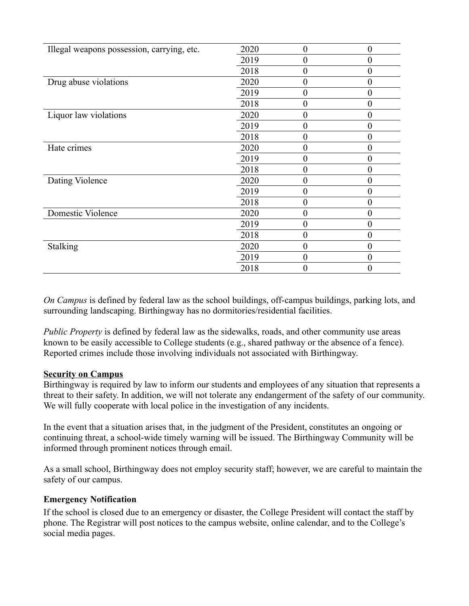| Illegal weapons possession, carrying, etc. | 2020 | $\theta$ | $\boldsymbol{0}$ |
|--------------------------------------------|------|----------|------------------|
|                                            | 2019 | $\theta$ | $\boldsymbol{0}$ |
|                                            | 2018 | $\theta$ | $\boldsymbol{0}$ |
| Drug abuse violations                      | 2020 | $\theta$ | $\theta$         |
|                                            | 2019 | $\theta$ | $\boldsymbol{0}$ |
|                                            | 2018 | $\theta$ | $\boldsymbol{0}$ |
| Liquor law violations                      | 2020 | $\Omega$ | $\theta$         |
|                                            | 2019 | $\theta$ | $\boldsymbol{0}$ |
|                                            | 2018 | $\theta$ | $\overline{0}$   |
| Hate crimes                                | 2020 | $\theta$ | $\boldsymbol{0}$ |
|                                            | 2019 | $\Omega$ | $\boldsymbol{0}$ |
|                                            | 2018 | $\Omega$ | $\overline{0}$   |
| Dating Violence                            | 2020 | $\Omega$ | $\theta$         |
|                                            | 2019 | $\Omega$ | $\overline{0}$   |
|                                            | 2018 | $\theta$ | $\boldsymbol{0}$ |
| Domestic Violence                          | 2020 | $\theta$ | $\boldsymbol{0}$ |
|                                            | 2019 | $\theta$ | $\overline{0}$   |
|                                            | 2018 | $\theta$ | $\overline{0}$   |
| Stalking                                   | 2020 | $\theta$ | $\boldsymbol{0}$ |
|                                            | 2019 | $\theta$ | $\theta$         |
|                                            | 2018 |          | $\boldsymbol{0}$ |

*On Campus* is defined by federal law as the school buildings, off-campus buildings, parking lots, and surrounding landscaping. Birthingway has no dormitories/residential facilities.

*Public Property* is defined by federal law as the sidewalks, roads, and other community use areas known to be easily accessible to College students (e.g., shared pathway or the absence of a fence). Reported crimes include those involving individuals not associated with Birthingway.

# **Security on Campus**

Birthingway is required by law to inform our students and employees of any situation that represents a threat to their safety. In addition, we will not tolerate any endangerment of the safety of our community. We will fully cooperate with local police in the investigation of any incidents.

In the event that a situation arises that, in the judgment of the President, constitutes an ongoing or continuing threat, a school-wide timely warning will be issued. The Birthingway Community will be informed through prominent notices through email.

As a small school, Birthingway does not employ security staff; however, we are careful to maintain the safety of our campus.

# **Emergency Notification**

If the school is closed due to an emergency or disaster, the College President will contact the staff by phone. The Registrar will post notices to the campus website, online calendar, and to the College's social media pages.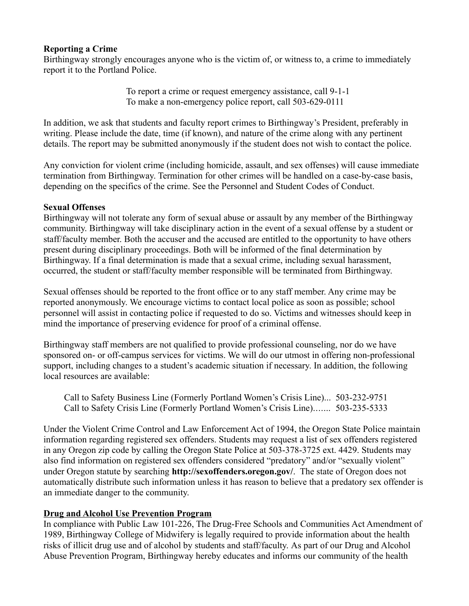# **Reporting a Crime**

Birthingway strongly encourages anyone who is the victim of, or witness to, a crime to immediately report it to the Portland Police.

> To report a crime or request emergency assistance, call 9-1-1 To make a non-emergency police report, call 503-629-0111

In addition, we ask that students and faculty report crimes to Birthingway's President, preferably in writing. Please include the date, time (if known), and nature of the crime along with any pertinent details. The report may be submitted anonymously if the student does not wish to contact the police.

Any conviction for violent crime (including homicide, assault, and sex offenses) will cause immediate termination from Birthingway. Termination for other crimes will be handled on a case-by-case basis, depending on the specifics of the crime. See the Personnel and Student Codes of Conduct.

### **Sexual Offenses**

Birthingway will not tolerate any form of sexual abuse or assault by any member of the Birthingway community. Birthingway will take disciplinary action in the event of a sexual offense by a student or staff/faculty member. Both the accuser and the accused are entitled to the opportunity to have others present during disciplinary proceedings. Both will be informed of the final determination by Birthingway. If a final determination is made that a sexual crime, including sexual harassment, occurred, the student or staff/faculty member responsible will be terminated from Birthingway.

Sexual offenses should be reported to the front office or to any staff member. Any crime may be reported anonymously. We encourage victims to contact local police as soon as possible; school personnel will assist in contacting police if requested to do so. Victims and witnesses should keep in mind the importance of preserving evidence for proof of a criminal offense.

Birthingway staff members are not qualified to provide professional counseling, nor do we have sponsored on- or off-campus services for victims. We will do our utmost in offering non-professional support, including changes to a student's academic situation if necessary. In addition, the following local resources are available:

Call to Safety Business Line (Formerly Portland Women's Crisis Line)... 503-232-9751 Call to Safety Crisis Line (Formerly Portland Women's Crisis Line)....... 503-235-5333

Under the Violent Crime Control and Law Enforcement Act of 1994, the Oregon State Police maintain information regarding registered sex offenders. Students may request a list of sex offenders registered in any Oregon zip code by calling the Oregon State Police at 503-378-3725 ext. 4429. Students may also find information on registered sex offenders considered "predatory" and/or "sexually violent" under Oregon statute by searching **http://sexoffenders.oregon.gov/**. The state of Oregon does not automatically distribute such information unless it has reason to believe that a predatory sex offender is an immediate danger to the community.

# **Drug and Alcohol Use Prevention Program**

In compliance with Public Law 101-226, The Drug-Free Schools and Communities Act Amendment of 1989, Birthingway College of Midwifery is legally required to provide information about the health risks of illicit drug use and of alcohol by students and staff/faculty. As part of our Drug and Alcohol Abuse Prevention Program, Birthingway hereby educates and informs our community of the health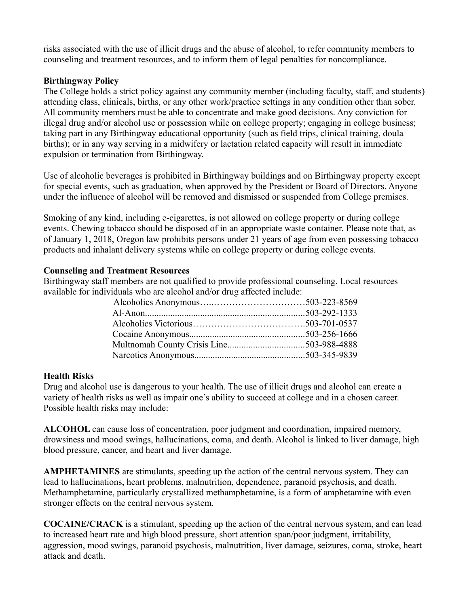risks associated with the use of illicit drugs and the abuse of alcohol, to refer community members to counseling and treatment resources, and to inform them of legal penalties for noncompliance.

### **Birthingway Policy**

The College holds a strict policy against any community member (including faculty, staff, and students) attending class, clinicals, births, or any other work/practice settings in any condition other than sober. All community members must be able to concentrate and make good decisions. Any conviction for illegal drug and/or alcohol use or possession while on college property; engaging in college business; taking part in any Birthingway educational opportunity (such as field trips, clinical training, doula births); or in any way serving in a midwifery or lactation related capacity will result in immediate expulsion or termination from Birthingway.

Use of alcoholic beverages is prohibited in Birthingway buildings and on Birthingway property except for special events, such as graduation, when approved by the President or Board of Directors. Anyone under the influence of alcohol will be removed and dismissed or suspended from College premises.

Smoking of any kind, including e-cigarettes, is not allowed on college property or during college events. Chewing tobacco should be disposed of in an appropriate waste container. Please note that, as of January 1, 2018, Oregon law prohibits persons under 21 years of age from even possessing tobacco products and inhalant delivery systems while on college property or during college events.

### **Counseling and Treatment Resources**

Birthingway staff members are not qualified to provide professional counseling. Local resources available for individuals who are alcohol and/or drug affected include:

#### **Health Risks**

Drug and alcohol use is dangerous to your health. The use of illicit drugs and alcohol can create a variety of health risks as well as impair one's ability to succeed at college and in a chosen career. Possible health risks may include:

**ALCOHOL** can cause loss of concentration, poor judgment and coordination, impaired memory, drowsiness and mood swings, hallucinations, coma, and death. Alcohol is linked to liver damage, high blood pressure, cancer, and heart and liver damage.

**AMPHETAMINES** are stimulants, speeding up the action of the central nervous system. They can lead to hallucinations, heart problems, malnutrition, dependence, paranoid psychosis, and death. Methamphetamine, particularly crystallized methamphetamine, is a form of amphetamine with even stronger effects on the central nervous system.

**COCAINE/CRACK** is a stimulant, speeding up the action of the central nervous system, and can lead to increased heart rate and high blood pressure, short attention span/poor judgment, irritability, aggression, mood swings, paranoid psychosis, malnutrition, liver damage, seizures, coma, stroke, heart attack and death.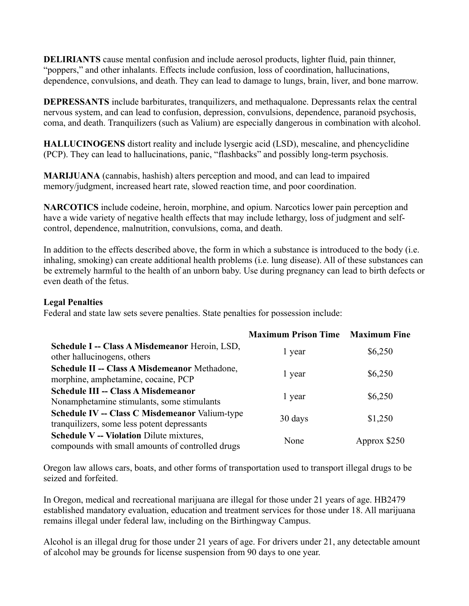**DELIRIANTS** cause mental confusion and include aerosol products, lighter fluid, pain thinner, "poppers," and other inhalants. Effects include confusion, loss of coordination, hallucinations, dependence, convulsions, and death. They can lead to damage to lungs, brain, liver, and bone marrow.

**DEPRESSANTS** include barbiturates, tranquilizers, and methaqualone. Depressants relax the central nervous system, and can lead to confusion, depression, convulsions, dependence, paranoid psychosis, coma, and death. Tranquilizers (such as Valium) are especially dangerous in combination with alcohol.

**HALLUCINOGENS** distort reality and include lysergic acid (LSD), mescaline, and phencyclidine (PCP). They can lead to hallucinations, panic, "flashbacks" and possibly long-term psychosis.

**MARIJUANA** (cannabis, hashish) alters perception and mood, and can lead to impaired memory/judgment, increased heart rate, slowed reaction time, and poor coordination.

**NARCOTICS** include codeine, heroin, morphine, and opium. Narcotics lower pain perception and have a wide variety of negative health effects that may include lethargy, loss of judgment and selfcontrol, dependence, malnutrition, convulsions, coma, and death.

In addition to the effects described above, the form in which a substance is introduced to the body (i.e. inhaling, smoking) can create additional health problems (i.e. lung disease). All of these substances can be extremely harmful to the health of an unborn baby. Use during pregnancy can lead to birth defects or even death of the fetus.

#### **Legal Penalties**

Federal and state law sets severe penalties. State penalties for possession include:

|                                                                                                      | <b>Maximum Prison Time Maximum Fine</b> |              |
|------------------------------------------------------------------------------------------------------|-----------------------------------------|--------------|
| Schedule I -- Class A Misdemeanor Heroin, LSD,<br>other hallucinogens, others                        | 1 year                                  | \$6,250      |
| Schedule II -- Class A Misdemeanor Methadone,<br>morphine, amphetamine, cocaine, PCP                 | 1 year                                  | \$6,250      |
| <b>Schedule III -- Class A Misdemeanor</b><br>Nonamphetamine stimulants, some stimulants             | 1 year                                  | \$6,250      |
| <b>Schedule IV -- Class C Misdemeanor Valium-type</b><br>tranquilizers, some less potent depressants | 30 days                                 | \$1,250      |
| <b>Schedule V -- Violation Dilute mixtures,</b><br>compounds with small amounts of controlled drugs  | None                                    | Approx \$250 |

Oregon law allows cars, boats, and other forms of transportation used to transport illegal drugs to be seized and forfeited.

In Oregon, medical and recreational marijuana are illegal for those under 21 years of age. HB2479 established mandatory evaluation, education and treatment services for those under 18. All marijuana remains illegal under federal law, including on the Birthingway Campus.

Alcohol is an illegal drug for those under 21 years of age. For drivers under 21, any detectable amount of alcohol may be grounds for license suspension from 90 days to one year.